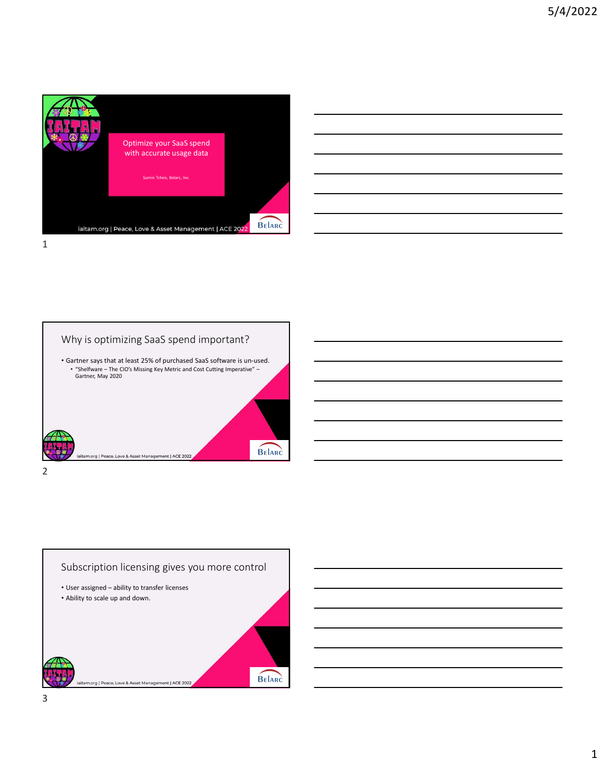

| <u> 1989 - Johann Stoff, amerikansk politiker (d. 1989)</u>                                                            |  |  |
|------------------------------------------------------------------------------------------------------------------------|--|--|
| <u> 1989 - Johann Stoff, deutscher Stoffen und der Stoffen und der Stoffen und der Stoffen und der Stoffen und de</u>  |  |  |
| <u> 1989 - Johann Stoff, deutscher Stoff, der Stoff, der Stoff, der Stoff, der Stoff, der Stoff, der Stoff, der S</u>  |  |  |
| <u> 1989 - Johann Stoff, fransk politik (d. 1989)</u>                                                                  |  |  |
| <u> 1989 - Johann Barn, mars ann an t-Amhain ann an t-Amhain ann an t-Amhain ann an t-Amhain an t-Amhain ann an t-</u> |  |  |
| <u> 1989 - Johann Barn, amerikansk politiker (d. 1989)</u>                                                             |  |  |
|                                                                                                                        |  |  |

 $\overline{\phantom{a}}$ 





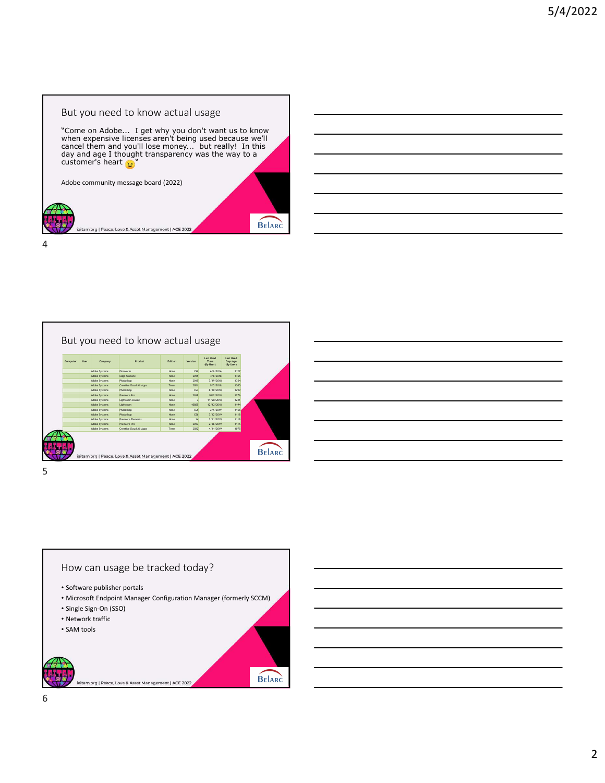







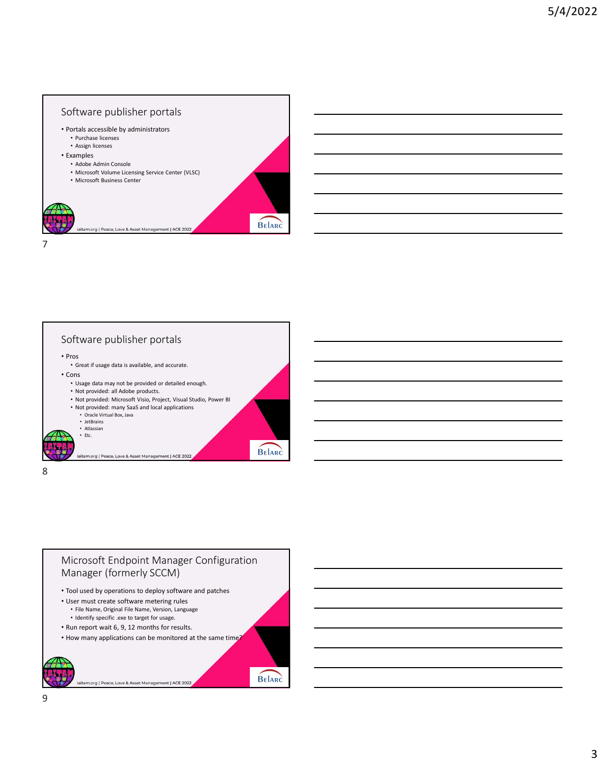





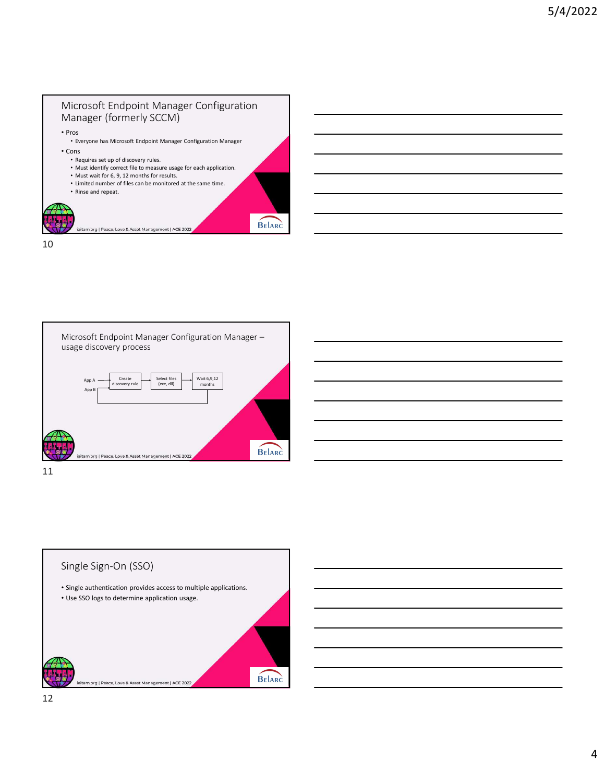## Microsoft Endpoint Manager Configuration Manager (formerly SCCM) • Pros

- Everyone has Microsoft Endpoint Manager Configuration Manager
- Cons • Requires set up of discovery rules.
	- Must identify correct file to measure usage for each application.
	- Must wait for 6, 9, 12 months for results.

BELARC

- Limited number of files can be monitored at the same time.
- Rinse and repeat.

org | Peace, Love & Asset Mana nt | ACE 2022

10





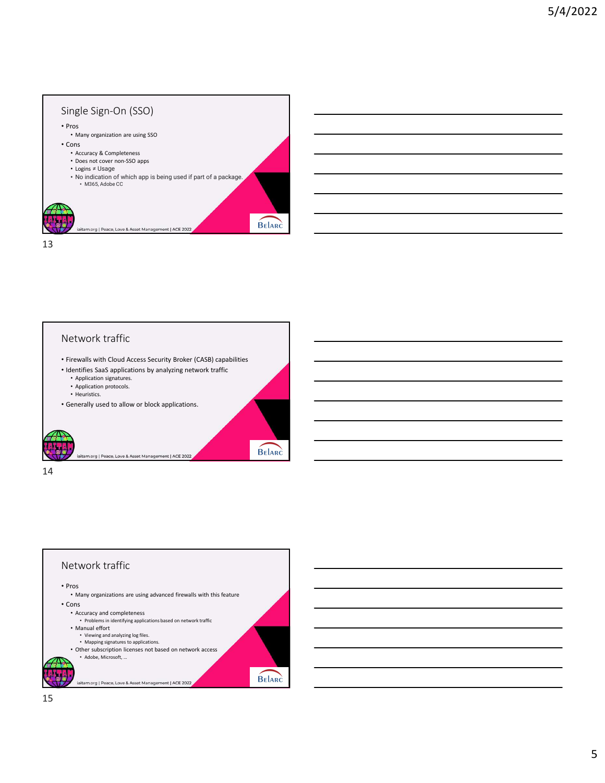

## Network traffic • Firewalls with Cloud Access Security Broker (CASB) capabilities • Identifies SaaS applications by analyzing network traffic • Application signatures. • Application protocols. • Heuristics. • Generally used to allow or block applications. BELARC iaitam.org | Peace, Love & Asset Management | ACE 2022



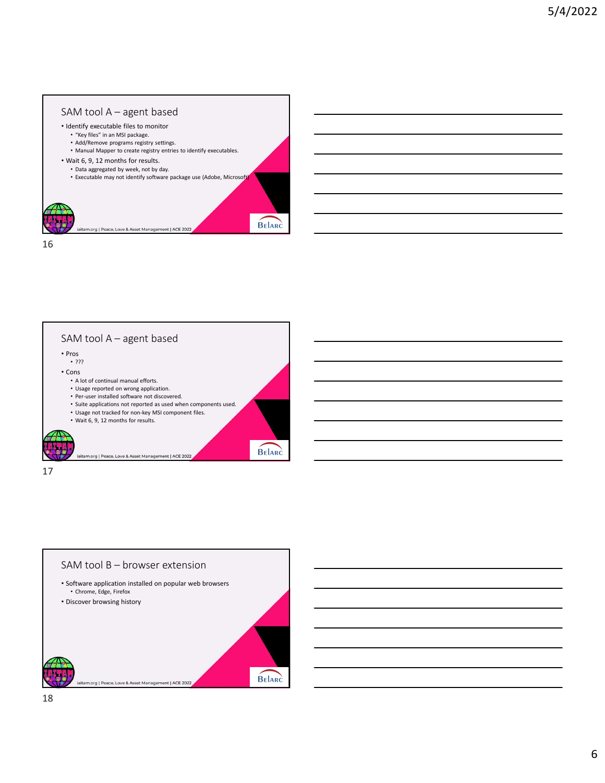



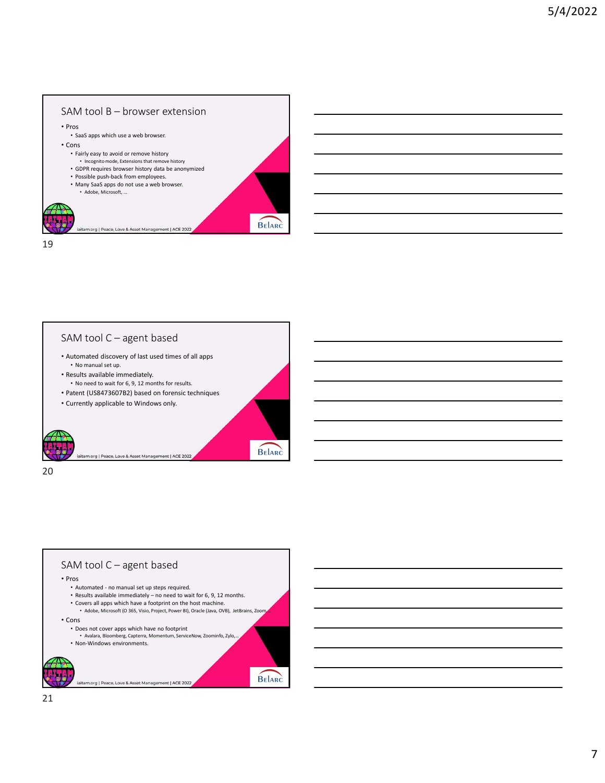







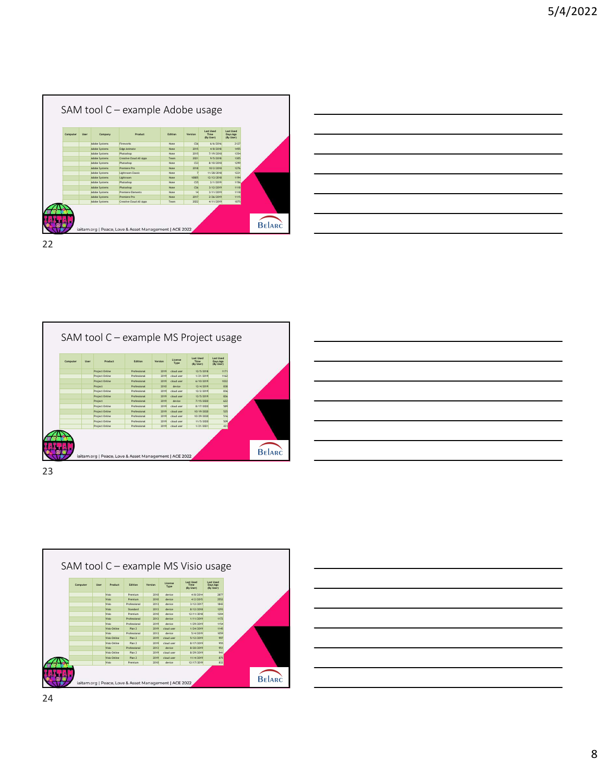|    | SAM tool C - example Adobe usage                                                                                    |                                                                                                               |                                                                            |                                                                                                                                                         |                                                                            |               |  |  |  |
|----|---------------------------------------------------------------------------------------------------------------------|---------------------------------------------------------------------------------------------------------------|----------------------------------------------------------------------------|---------------------------------------------------------------------------------------------------------------------------------------------------------|----------------------------------------------------------------------------|---------------|--|--|--|
|    | User<br>Company<br>Computer<br>Adobe Systems<br>Adobe Systems<br>Adobe Systems<br>Adobe Systems<br>Adobe Systems    | Product<br>Fireworks<br>Edge Animate<br>Photoshop<br>Creative Cloud All Apps<br>Photoshop                     | Edition<br>Version<br>None<br>None<br>None<br>Team<br>None                 | Last Used<br>Time<br>(By User)<br>CS6<br>6/6/2016<br>2015<br>4/8/2018<br>2015<br>7/19/2018<br>2021<br>9/5/2018<br>CS3<br>8/10/2018                      | Last Used<br>Days Ago<br>(By User)<br>2127<br>1455<br>1354<br>1305<br>1299 |               |  |  |  |
|    | Adobe Systems<br>Adobe Systems<br>Adobe Systems<br>Adobe Systems<br>Adobe Systems<br>Adobe Systems<br>Adobe Systems | Premiere Pro<br>Lightroom Classic<br>Lightroom<br>Photoshop<br>Photoshop<br>Premiere Elements<br>Premiere Pro | None<br>None<br>None<br>None<br>None<br>None<br>None                       | 10/2/2018<br>2018<br>11/28/2018<br>$\overline{7}$<br>10805<br>12/12/2018<br>CS5<br>2/1/2019<br>CS6<br>3/12/2019<br>14<br>3/11/2019<br>2017<br>2/26/2019 | 1276<br>1221<br>1194<br>1156<br>1118<br>1118<br>1115                       |               |  |  |  |
|    | Adobe Systems                                                                                                       | Creative Cloud All Apps<br>iaitam.org   Peace, Love & Asset Management   ACE 2022                             | Team                                                                       | 2022<br>4/11/2019                                                                                                                                       | 1075                                                                       | <b>BELARC</b> |  |  |  |
| 22 |                                                                                                                     |                                                                                                               |                                                                            |                                                                                                                                                         |                                                                            |               |  |  |  |
|    |                                                                                                                     |                                                                                                               |                                                                            |                                                                                                                                                         |                                                                            |               |  |  |  |
|    | SAM tool C - example MS Project usage                                                                               |                                                                                                               |                                                                            |                                                                                                                                                         |                                                                            |               |  |  |  |
|    |                                                                                                                     |                                                                                                               | License                                                                    | Last Used<br>Time                                                                                                                                       |                                                                            |               |  |  |  |
|    | Computer<br>User<br>Product<br>Project Online<br>Project Online<br>Project Online                                   | Edition<br>Professional<br>Professional<br>Professional                                                       | Version<br>Type<br>2019 cloud user<br>2019 cloud user<br>$2019$ cloud user | Last Used<br>Days Ago<br>(By User)<br>(By User)<br>12/5/2018<br>1171<br>1162<br>1/21/2019<br>6/10/2019<br>1022                                          |                                                                            |               |  |  |  |
|    | Project                                                                                                             | Professional                                                                                                  | 2010 device                                                                | 838<br>12/4/2019                                                                                                                                        |                                                                            |               |  |  |  |
|    | Project Online<br>Project Online<br>Project                                                                         | Professional<br>Professional<br>Professional                                                                  | 2019 cloud user<br>$2019$ cloud user<br>2019 device                        | 12/2/2019<br>836<br>12/5/2019<br>826<br>622<br>7/15/2020                                                                                                |                                                                            |               |  |  |  |





|  |                                                            | <u> 1989 - Johann Stoff, amerikansk politiker (d. 1989)</u>                                                           |
|--|------------------------------------------------------------|-----------------------------------------------------------------------------------------------------------------------|
|  |                                                            |                                                                                                                       |
|  | <u> 1989 - Johann Barn, amerikansk politiker (d. 1989)</u> |                                                                                                                       |
|  |                                                            |                                                                                                                       |
|  |                                                            | ,我们也不会有什么?""我们的人,我们也不会有什么?""我们的人,我们也不会有什么?""我们的人,我们也不会有什么?""我们的人,我们也不会有什么?""我们的人                                      |
|  |                                                            | <u> 1989 - Johann Stoff, deutscher Stoff, der Stoff, der Stoff, der Stoff, der Stoff, der Stoff, der Stoff, der S</u> |
|  |                                                            | <u> 1989 - Johann Stoff, amerikansk politiker (d. 1989)</u>                                                           |
|  |                                                            |                                                                                                                       |



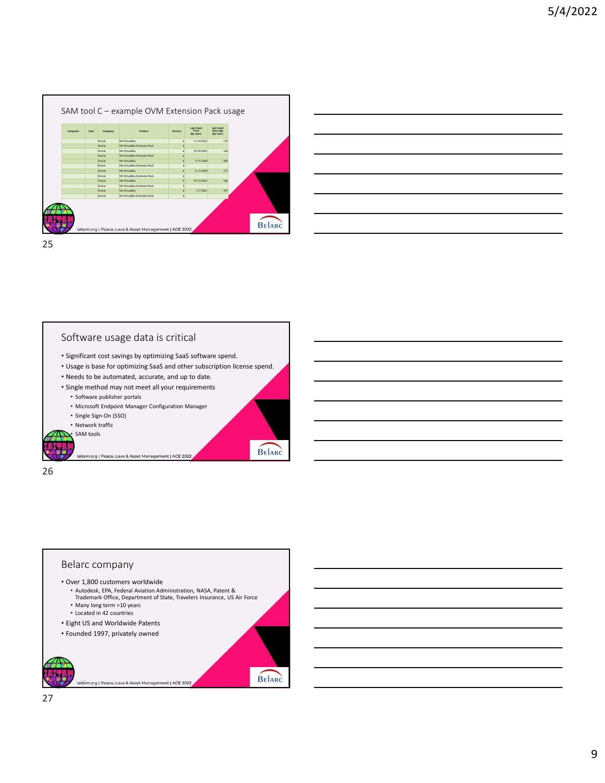|                  | SAM tool C - example OVM Extension Pack usage |                     |                                |                                    |  |  |  |
|------------------|-----------------------------------------------|---------------------|--------------------------------|------------------------------------|--|--|--|
| User<br>Company  | Product                                       | Version             | Last Used<br>Time<br>(By User) | Last Used<br>Days Ago<br>(By User) |  |  |  |
| Oracle<br>Oracle | VM VirtualBox<br>VM VirtualBox Extension Pack | 6<br>6              | 11/24/2021                     | 125                                |  |  |  |
| Oracle<br>Oracle | VM VirtualBox<br>VM VirtualBox Extension Pack | 6<br>6              | 10/20/2021                     | 160                                |  |  |  |
| Oracle           | VM VirtualBox                                 | 6                   | 11/5/2020                      | 509                                |  |  |  |
| Oracle<br>Oracle | VM VirtualBox Extension Pack<br>VM VirtualBox | 6<br>$6\phantom{a}$ | 2/13/2020                      | 737                                |  |  |  |
| Oracle           | VM VirtualBox Extension Pack                  | $\epsilon$          |                                |                                    |  |  |  |
| Oracle<br>Oracle | VM VirtualBox<br>VM VirtualBox Extension Pack | $\overline{5}$<br>5 | 10/12/2021                     | 168                                |  |  |  |
| Oracle           | VM VirtualBox                                 | $\epsilon$          | 1/7/2021                       | 397                                |  |  |  |
| Oracle           | VM VirtualBox Extension Pack                  | $\epsilon$          |                                |                                    |  |  |  |
|                  |                                               |                     |                                |                                    |  |  |  |

25 and 25 and 25 and 25 and 25 and 25 and 25 and 26 and 26 and 26 and 26 and 26 and 26 and 26 and 26 and 26 an

26

| C - example OVM Extension Pack usage<br>Last Used<br>Days Ago<br>(By User)<br>Last Used<br>Time<br>(By User)<br>Company<br>Product<br>Version<br>Dracle<br>VM VirtualBox<br>11/24/2021<br>125<br>6<br>Dracle<br>VM VirtualBox Extension Pack<br>$6\overline{6}$<br>Dracle<br><b>VM VirtualBox</b><br>10/20/2021<br>160<br>6<br>Dracle<br>VM VirtualBox Extension Pack<br>6<br>Dracle<br>VM VirtualBox<br>11/5/2020<br>509<br>6<br>Dracle<br>VM VirtualBox Extension Pack<br>6<br>VM VirtualBox<br>2/13/2020<br>737<br>Dracle<br>$6\overline{6}$<br>Dracle<br>VM VirtualBox Extension Pack<br>6<br>10/12/2021<br>Dracle<br>VM VirtualBox<br>168<br>5<br>Dracle<br>VM VirtualBox Extension Pack<br>5<br>Dracle<br>VM VirtualBox<br>1/7/2021<br>397<br>$6\overline{6}$<br>Dracle<br>VM VirtualBox Extension Pack<br>6 | BELARC |  |  |  |  |  |  |
|--------------------------------------------------------------------------------------------------------------------------------------------------------------------------------------------------------------------------------------------------------------------------------------------------------------------------------------------------------------------------------------------------------------------------------------------------------------------------------------------------------------------------------------------------------------------------------------------------------------------------------------------------------------------------------------------------------------------------------------------------------------------------------------------------------------------|--------|--|--|--|--|--|--|
|                                                                                                                                                                                                                                                                                                                                                                                                                                                                                                                                                                                                                                                                                                                                                                                                                    |        |  |  |  |  |  |  |
|                                                                                                                                                                                                                                                                                                                                                                                                                                                                                                                                                                                                                                                                                                                                                                                                                    | 5/4    |  |  |  |  |  |  |
|                                                                                                                                                                                                                                                                                                                                                                                                                                                                                                                                                                                                                                                                                                                                                                                                                    |        |  |  |  |  |  |  |
|                                                                                                                                                                                                                                                                                                                                                                                                                                                                                                                                                                                                                                                                                                                                                                                                                    |        |  |  |  |  |  |  |
|                                                                                                                                                                                                                                                                                                                                                                                                                                                                                                                                                                                                                                                                                                                                                                                                                    |        |  |  |  |  |  |  |
|                                                                                                                                                                                                                                                                                                                                                                                                                                                                                                                                                                                                                                                                                                                                                                                                                    |        |  |  |  |  |  |  |
|                                                                                                                                                                                                                                                                                                                                                                                                                                                                                                                                                                                                                                                                                                                                                                                                                    |        |  |  |  |  |  |  |
|                                                                                                                                                                                                                                                                                                                                                                                                                                                                                                                                                                                                                                                                                                                                                                                                                    |        |  |  |  |  |  |  |
|                                                                                                                                                                                                                                                                                                                                                                                                                                                                                                                                                                                                                                                                                                                                                                                                                    |        |  |  |  |  |  |  |
|                                                                                                                                                                                                                                                                                                                                                                                                                                                                                                                                                                                                                                                                                                                                                                                                                    |        |  |  |  |  |  |  |
|                                                                                                                                                                                                                                                                                                                                                                                                                                                                                                                                                                                                                                                                                                                                                                                                                    |        |  |  |  |  |  |  |
|                                                                                                                                                                                                                                                                                                                                                                                                                                                                                                                                                                                                                                                                                                                                                                                                                    |        |  |  |  |  |  |  |
|                                                                                                                                                                                                                                                                                                                                                                                                                                                                                                                                                                                                                                                                                                                                                                                                                    |        |  |  |  |  |  |  |
|                                                                                                                                                                                                                                                                                                                                                                                                                                                                                                                                                                                                                                                                                                                                                                                                                    |        |  |  |  |  |  |  |
|                                                                                                                                                                                                                                                                                                                                                                                                                                                                                                                                                                                                                                                                                                                                                                                                                    |        |  |  |  |  |  |  |
|                                                                                                                                                                                                                                                                                                                                                                                                                                                                                                                                                                                                                                                                                                                                                                                                                    |        |  |  |  |  |  |  |
|                                                                                                                                                                                                                                                                                                                                                                                                                                                                                                                                                                                                                                                                                                                                                                                                                    |        |  |  |  |  |  |  |
|                                                                                                                                                                                                                                                                                                                                                                                                                                                                                                                                                                                                                                                                                                                                                                                                                    |        |  |  |  |  |  |  |
|                                                                                                                                                                                                                                                                                                                                                                                                                                                                                                                                                                                                                                                                                                                                                                                                                    |        |  |  |  |  |  |  |
|                                                                                                                                                                                                                                                                                                                                                                                                                                                                                                                                                                                                                                                                                                                                                                                                                    |        |  |  |  |  |  |  |
|                                                                                                                                                                                                                                                                                                                                                                                                                                                                                                                                                                                                                                                                                                                                                                                                                    |        |  |  |  |  |  |  |
|                                                                                                                                                                                                                                                                                                                                                                                                                                                                                                                                                                                                                                                                                                                                                                                                                    |        |  |  |  |  |  |  |
|                                                                                                                                                                                                                                                                                                                                                                                                                                                                                                                                                                                                                                                                                                                                                                                                                    |        |  |  |  |  |  |  |
|                                                                                                                                                                                                                                                                                                                                                                                                                                                                                                                                                                                                                                                                                                                                                                                                                    |        |  |  |  |  |  |  |
|                                                                                                                                                                                                                                                                                                                                                                                                                                                                                                                                                                                                                                                                                                                                                                                                                    |        |  |  |  |  |  |  |
|                                                                                                                                                                                                                                                                                                                                                                                                                                                                                                                                                                                                                                                                                                                                                                                                                    |        |  |  |  |  |  |  |
|                                                                                                                                                                                                                                                                                                                                                                                                                                                                                                                                                                                                                                                                                                                                                                                                                    |        |  |  |  |  |  |  |
|                                                                                                                                                                                                                                                                                                                                                                                                                                                                                                                                                                                                                                                                                                                                                                                                                    |        |  |  |  |  |  |  |
|                                                                                                                                                                                                                                                                                                                                                                                                                                                                                                                                                                                                                                                                                                                                                                                                                    |        |  |  |  |  |  |  |
|                                                                                                                                                                                                                                                                                                                                                                                                                                                                                                                                                                                                                                                                                                                                                                                                                    |        |  |  |  |  |  |  |
|                                                                                                                                                                                                                                                                                                                                                                                                                                                                                                                                                                                                                                                                                                                                                                                                                    |        |  |  |  |  |  |  |
|                                                                                                                                                                                                                                                                                                                                                                                                                                                                                                                                                                                                                                                                                                                                                                                                                    |        |  |  |  |  |  |  |
|                                                                                                                                                                                                                                                                                                                                                                                                                                                                                                                                                                                                                                                                                                                                                                                                                    |        |  |  |  |  |  |  |
|                                                                                                                                                                                                                                                                                                                                                                                                                                                                                                                                                                                                                                                                                                                                                                                                                    |        |  |  |  |  |  |  |
| Peace, Love & Asset Management   ACE 2022                                                                                                                                                                                                                                                                                                                                                                                                                                                                                                                                                                                                                                                                                                                                                                          |        |  |  |  |  |  |  |
|                                                                                                                                                                                                                                                                                                                                                                                                                                                                                                                                                                                                                                                                                                                                                                                                                    |        |  |  |  |  |  |  |

Software usage data is critical • Significant cost savings by optimizing SaaS software spend. • Usage is base for optimizing SaaS and other subscription license spend. • Needs to be automated, accurate, and up to date. • Single method may not meet all your requirements • Software publisher portals • Microsoft Endpoint Manager Configuration Manager • Single Sign-On (SSO) • Network traffic SAM tools